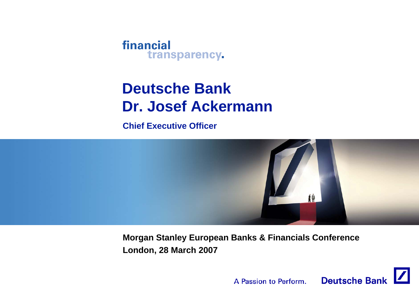financial transparency.

# **Deutsche BankDr. Josef Ackermann**

**Chief Executive Officer**



**Morgan Stanley European Banks & Financials Conference London, 28 March 2007**

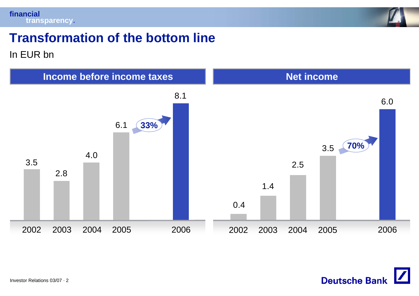



# **Transformation of the bottom line**

## In EUR bn



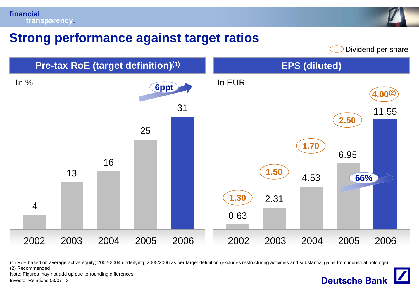

## **Strong performance against target ratios**

Dividend per share

**Deutsche Bank** 



(1) RoE based on average active equity; 2002-2004 underlying; 2005/2006 as per target definition (excludes restructuring activities and substantial gains from industrial holdings)

(2) Recommended

Investor Relations 03/07 · 3Note: Figures may not add up due to rounding differences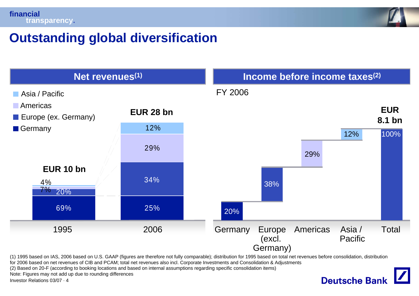

**Deutsche Bank** 

# **Outstanding global diversification**



for 2006 based on net revenues of CIB and PCAM; total net revenues also incl. Corporate Investments and Consolidation & Adjustments

(2) Based on 20-F (according to booking locations and based on internal assumptions regarding specific consolidation items)

Note: Figures may not add up due to rounding differences

Investor Relations 03/07 · 4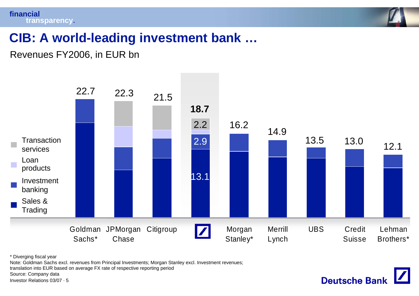**financialtransparency.**



**Deutsche Bank** 

# **CIB: A world-leading investment bank …**

Revenues FY2006, in EUR bn



\* Diverging fiscal year

Note: Goldman Sachs excl. revenues from Principal Investments; Morgan Stanley excl. Investment revenues;

translation into EUR based on average FX rate of respective reporting period

Source: Company data

Investor Relations 03/07 · 5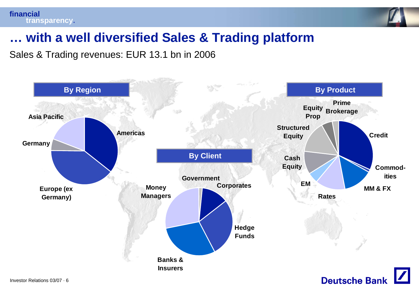

## **… with a well diversified Sales & Trading platform**

Sales & Trading revenues: EUR 13.1 bn in 2006

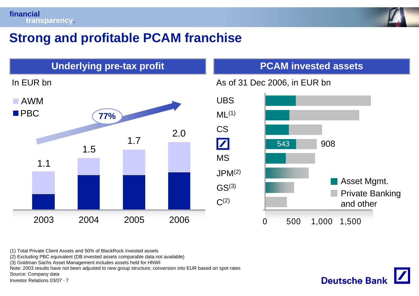

# **Strong and profitable PCAM franchise**



(1) Total Private Client Assets and 50% of BlackRock invested assets

(2) Excluding PBC equivalent (DB invested assets comparable data not available)

(3) Goldman Sachs Asset Management includes assets held for HNWI

Note: 2003 results have not been adjusted to new group structure; conversion into EUR based on spot rates

Source: Company data

Investor Relations 03/07 · 7

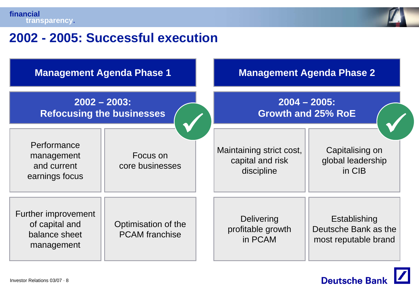



## **2002 - 2005: Successful execution**

| <b>Management Agenda Phase 1</b>                                     |                                              | <b>Management Agenda Phase 2</b>             |                                                            |                                                              |
|----------------------------------------------------------------------|----------------------------------------------|----------------------------------------------|------------------------------------------------------------|--------------------------------------------------------------|
| $2002 - 2003$ :<br><b>Refocusing the businesses</b>                  |                                              | $2004 - 2005$ :<br><b>Growth and 25% RoE</b> |                                                            |                                                              |
| Performance<br>management<br>and current<br>earnings focus           | Focus on<br>core businesses                  |                                              | Maintaining strict cost,<br>capital and risk<br>discipline | Capitalising on<br>global leadership<br>in CIB               |
| Further improvement<br>of capital and<br>balance sheet<br>management | Optimisation of the<br><b>PCAM</b> franchise |                                              | Delivering<br>profitable growth<br>in PCAM                 | Establishing<br>Deutsche Bank as the<br>most reputable brand |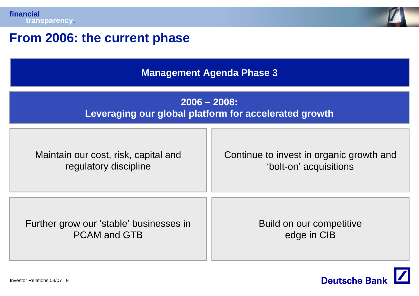



# **From 2006: the current phase**

**Management Agenda Phase 3**

## **2006 – 2008: Leveraging our global platform for accelerated growth**

| Maintain our cost, risk, capital and    | Continue to invest in organic growth and |  |  |
|-----------------------------------------|------------------------------------------|--|--|
| regulatory discipline                   | 'bolt-on' acquisitions                   |  |  |
| Further grow our 'stable' businesses in | Build on our competitive                 |  |  |
| <b>PCAM and GTB</b>                     | edge in CIB                              |  |  |

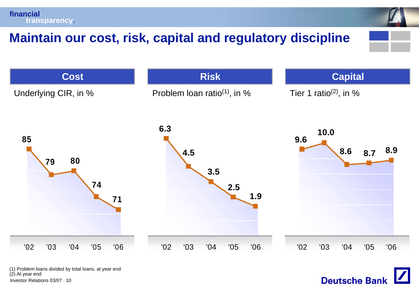**financialtransparency.**

# **Maintain our cost, risk, capital and regulatory discipline**



Investor Relations 03/07 · 10(1) Problem loans divided by total loans, at year end (2) At year end

**Deutsche Bank**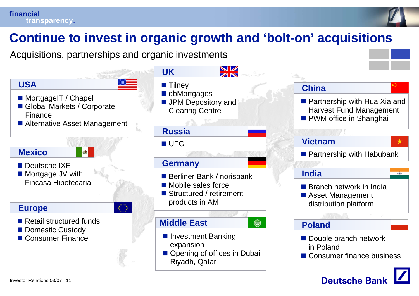

# **Continue to invest in organic growth and 'bolt-on' acquisitions**

Acquisitions, partnerships and organic investments



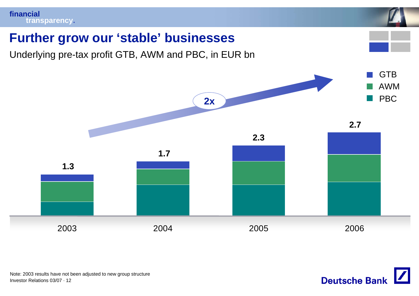

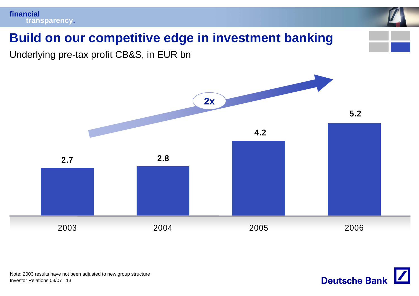

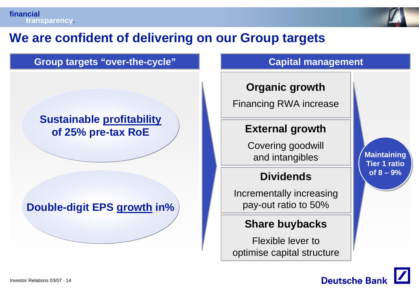

# **We are confident of delivering on our Group targets**

### **Group targets "over-the-cycle" Capital management**

## **Sustainable profitability of 25% pre-tax RoE**

## **Double-digit EPS growth in%**

## **Organic growth**

Financing RWA increase

## **External growth**

Covering goodwill **and intangibles** 

## **Dividends**

Incrementally increasing pay-out ratio to 50%

## **Share buybacks**

Flexible lever tooptimise capital structure

**of 8 – 9%of 8 – 9%Maintaining Tier 1 ratio**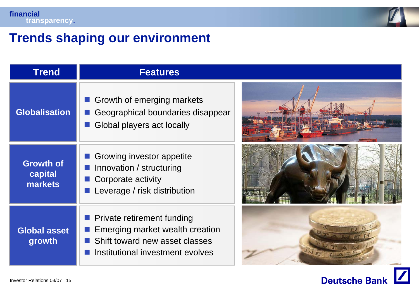

## **Trends shaping our environment**

| <b>Trend</b>                                  | <b>Features</b>                                                                                                                     |  |
|-----------------------------------------------|-------------------------------------------------------------------------------------------------------------------------------------|--|
| <b>Globalisation</b>                          | Growth of emerging markets<br>Geographical boundaries disappear<br>Global players act locally                                       |  |
| <b>Growth of</b><br>capital<br><b>markets</b> | Growing investor appetite<br>Innovation / structuring<br>Corporate activity<br>Leverage / risk distribution                         |  |
| <b>Global asset</b><br>growth                 | Private retirement funding<br>Emerging market wealth creation<br>Shift toward new asset classes<br>Institutional investment evolves |  |

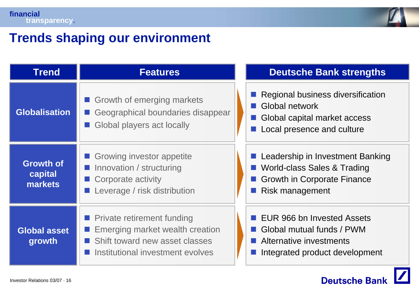

## **Trends shaping our environment**

| <b>Trend</b>                                  | <b>Features</b>                                                                                                                       | <b>Deutsche Bank strengths</b>                                                                                                           |
|-----------------------------------------------|---------------------------------------------------------------------------------------------------------------------------------------|------------------------------------------------------------------------------------------------------------------------------------------|
| <b>Globalisation</b>                          | Growth of emerging markets<br>Geographical boundaries disappear<br>Global players act locally                                         | Regional business diversification<br>Global network<br>Global capital market access<br>Local presence and culture                        |
| <b>Growth of</b><br>capital<br><b>markets</b> | Growing investor appetite<br>Innovation / structuring<br>Corporate activity<br>Leverage / risk distribution                           | <b>E</b> Leadership in Investment Banking<br>World-class Sales & Trading<br><b>Growth in Corporate Finance</b><br><b>Risk management</b> |
| <b>Global asset</b><br>growth                 | • Private retirement funding<br>Emerging market wealth creation<br>Shift toward new asset classes<br>Institutional investment evolves | EUR 966 bn Invested Assets<br>Global mutual funds / PWM<br>Alternative investments<br>Integrated product development                     |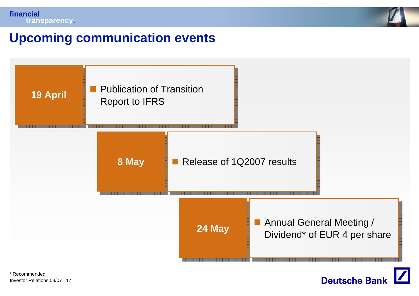



## **Upcoming communication events**